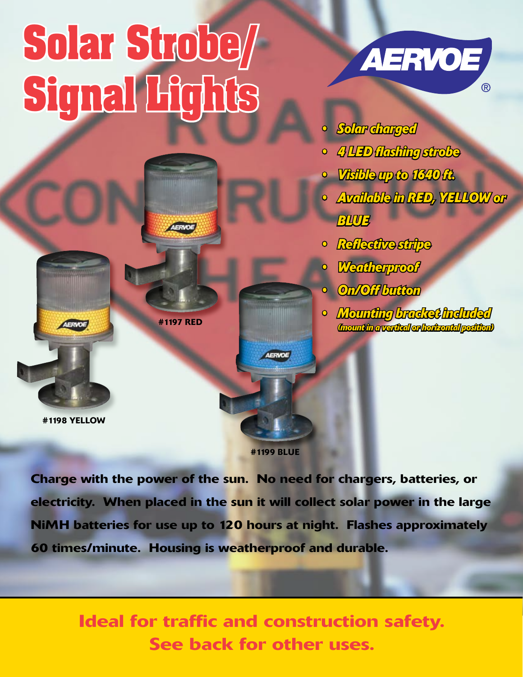## **Solar Strobe/ Signal Lights**



- *• Solar charged*
- *• 4 LED flashing strobe*
- *• Visible up to 1640 ft.*
- *• Available in RED, YELLOW or*  **BLUE**
- *• Reflective stripe*
- *• Weatherproof*
- *• On/Off button*
- *• Mounting bracket included (mount in a vertical or horizontal position)*

#1197 RED

#1198 YELLOW

#1199 BLUE

menthitin

AERVOE

Charge with the power of the sun. No need for chargers, batteries, or electricity. When placed in the sun it will collect solar power in the large NiMH batteries for use up to 120 hours at night. Flashes approximately 60 times/minute. Housing is weatherproof and durable.

> Ideal for traffic and construction safety. See back for other uses.